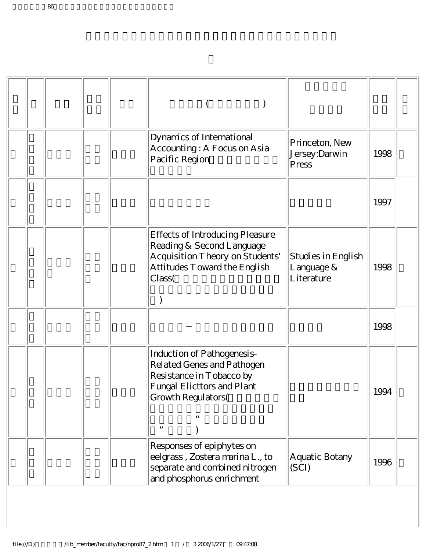|  |  | Dynamics of International<br>Accounting: A Focus on Asia<br>Pacific Region                                                                       | Princeton, New<br>Jersey:Darwin<br>Press       | 1998 |
|--|--|--------------------------------------------------------------------------------------------------------------------------------------------------|------------------------------------------------|------|
|  |  |                                                                                                                                                  |                                                | 1997 |
|  |  | <b>Effects of Introducing Pleasure</b><br>Reading & Second Language<br>Acquisition Theory on Students'<br>Attitudes Toward the English<br>Class( | Studies in English<br>Language &<br>Literature | 1998 |
|  |  |                                                                                                                                                  |                                                | 1998 |
|  |  | Induction of Pathogenesis-<br>Related Genes and Pathogen<br>Resistance in Tobacco by<br>Fungal Elicttors and Plant<br>Growth Regulators(         |                                                | 1994 |
|  |  | Responses of epiphytes on<br>eelgrass, Zostera marina L., to<br>separate and combined nitrogen<br>and phosphorus enrichment                      | Aquatic Botany<br>(SCI)                        | 1996 |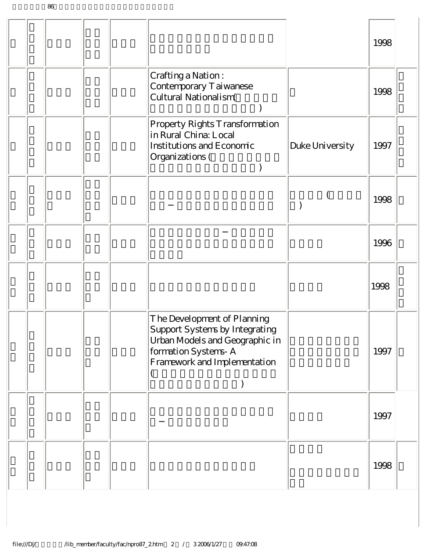|  |  |                                                                                                                                                        |                 | 1998 |
|--|--|--------------------------------------------------------------------------------------------------------------------------------------------------------|-----------------|------|
|  |  | Crafting a Nation:<br>Contemporary Taiwanese<br>Cultural Nationalism(                                                                                  |                 | 1998 |
|  |  | Property Rights Transformation<br>in Rural China: Local<br>Institutions and Economic<br>Organizations (                                                | Duke University | 1997 |
|  |  |                                                                                                                                                        |                 | 1998 |
|  |  |                                                                                                                                                        |                 | 1996 |
|  |  |                                                                                                                                                        |                 | 1998 |
|  |  | The Development of Planning<br>Support Systems by Integrating<br>Urban Models and Geographic in<br>formation Systems-A<br>Framework and Implementation |                 | 1997 |
|  |  |                                                                                                                                                        |                 | 1997 |
|  |  |                                                                                                                                                        |                 | 1998 |

 $86$